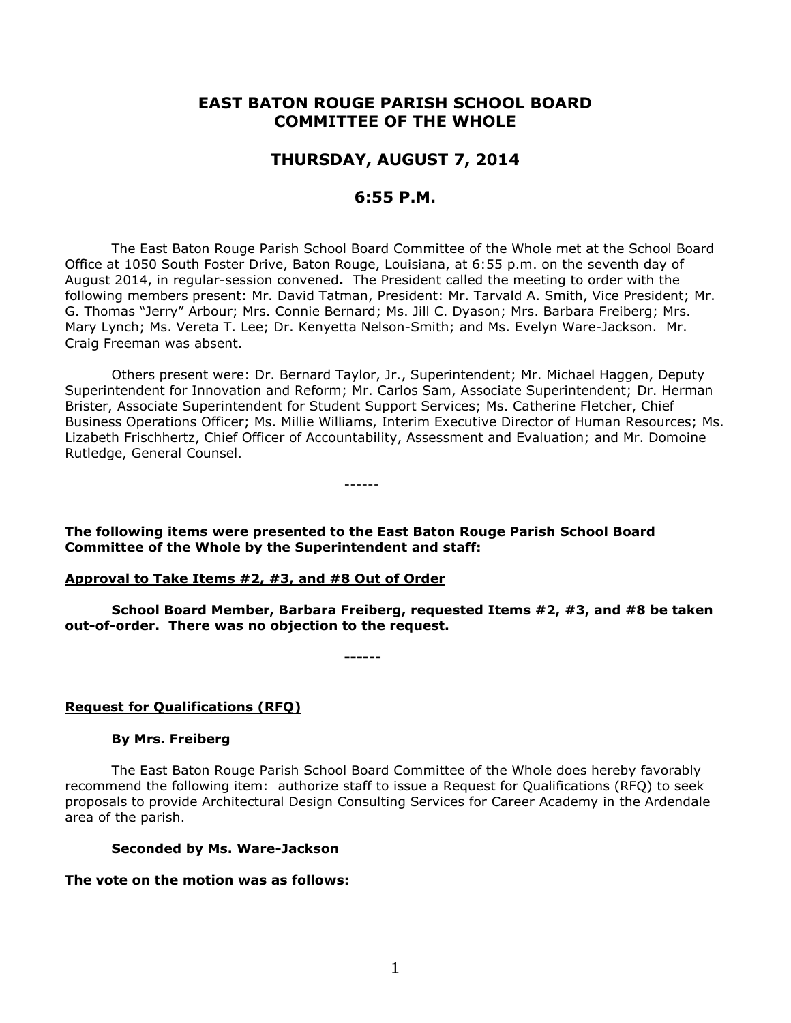# **EAST BATON ROUGE PARISH SCHOOL BOARD COMMITTEE OF THE WHOLE**

# **THURSDAY, AUGUST 7, 2014**

# **6:55 P.M.**

The East Baton Rouge Parish School Board Committee of the Whole met at the School Board Office at 1050 South Foster Drive, Baton Rouge, Louisiana, at 6:55 p.m. on the seventh day of August 2014, in regular-session convened**.** The President called the meeting to order with the following members present: Mr. David Tatman, President: Mr. Tarvald A. Smith, Vice President; Mr. G. Thomas "Jerry" Arbour; Mrs. Connie Bernard; Ms. Jill C. Dyason; Mrs. Barbara Freiberg; Mrs. Mary Lynch; Ms. Vereta T. Lee; Dr. Kenyetta Nelson-Smith; and Ms. Evelyn Ware-Jackson. Mr. Craig Freeman was absent.

Others present were: Dr. Bernard Taylor, Jr., Superintendent; Mr. Michael Haggen, Deputy Superintendent for Innovation and Reform; Mr. Carlos Sam, Associate Superintendent; Dr. Herman Brister, Associate Superintendent for Student Support Services; Ms. Catherine Fletcher, Chief Business Operations Officer; Ms. Millie Williams, Interim Executive Director of Human Resources; Ms. Lizabeth Frischhertz, Chief Officer of Accountability, Assessment and Evaluation; and Mr. Domoine Rutledge, General Counsel.

------

**The following items were presented to the East Baton Rouge Parish School Board Committee of the Whole by the Superintendent and staff:**

#### **Approval to Take Items #2, #3, and #8 Out of Order**

**School Board Member, Barbara Freiberg, requested Items #2, #3, and #8 be taken out-of-order. There was no objection to the request.**

**------**

## **Request for Qualifications (RFQ)**

#### **By Mrs. Freiberg**

The East Baton Rouge Parish School Board Committee of the Whole does hereby favorably recommend the following item: authorize staff to issue a Request for Qualifications (RFQ) to seek proposals to provide Architectural Design Consulting Services for Career Academy in the Ardendale area of the parish.

#### **Seconded by Ms. Ware-Jackson**

#### **The vote on the motion was as follows:**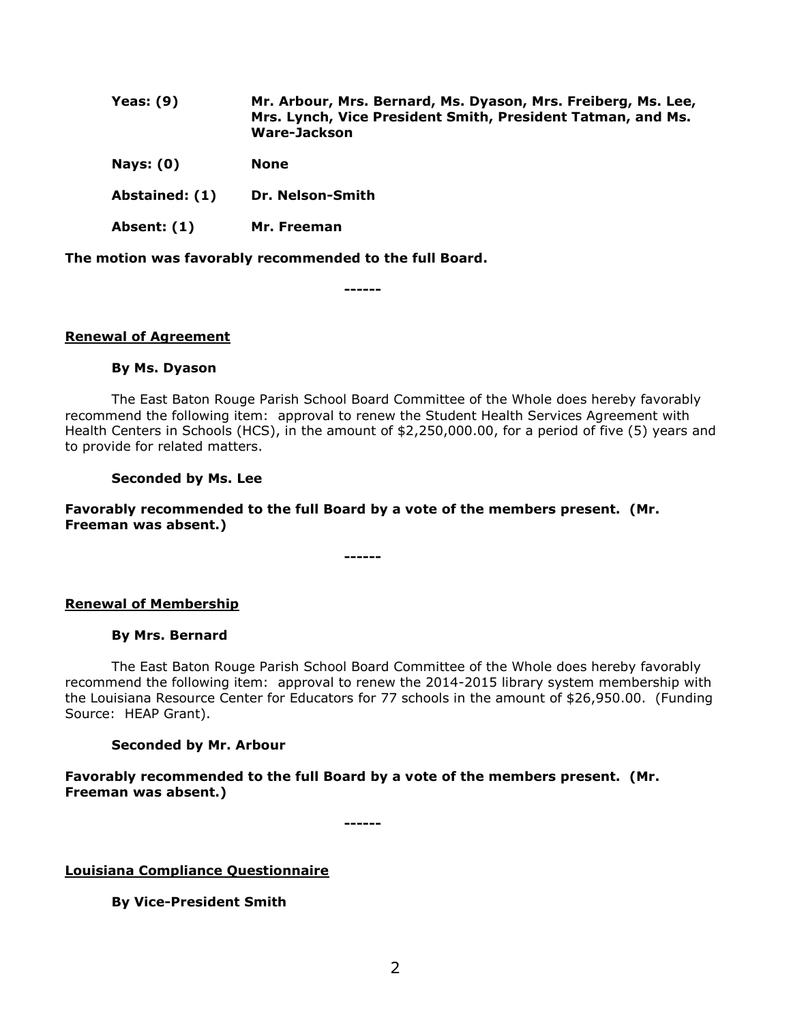| Yeas: $(9)$    | Mr. Arbour, Mrs. Bernard, Ms. Dyason, Mrs. Freiberg, Ms. Lee,<br>Mrs. Lynch, Vice President Smith, President Tatman, and Ms.<br>Ware-Jackson |
|----------------|----------------------------------------------------------------------------------------------------------------------------------------------|
| Nays: $(0)$    | <b>None</b>                                                                                                                                  |
| Abstained: (1) | Dr. Nelson-Smith                                                                                                                             |
| Absent: (1)    | Mr. Freeman                                                                                                                                  |

**The motion was favorably recommended to the full Board.**

**------**

## **Renewal of Agreement**

#### **By Ms. Dyason**

The East Baton Rouge Parish School Board Committee of the Whole does hereby favorably recommend the following item: approval to renew the Student Health Services Agreement with Health Centers in Schools (HCS), in the amount of \$2,250,000.00, for a period of five (5) years and to provide for related matters.

#### **Seconded by Ms. Lee**

## **Favorably recommended to the full Board by a vote of the members present. (Mr. Freeman was absent.)**

**------**

## **Renewal of Membership**

#### **By Mrs. Bernard**

The East Baton Rouge Parish School Board Committee of the Whole does hereby favorably recommend the following item: approval to renew the 2014-2015 library system membership with the Louisiana Resource Center for Educators for 77 schools in the amount of \$26,950.00. (Funding Source: HEAP Grant).

## **Seconded by Mr. Arbour**

**Favorably recommended to the full Board by a vote of the members present. (Mr. Freeman was absent.)**

**------**

**Louisiana Compliance Questionnaire**

**By Vice-President Smith**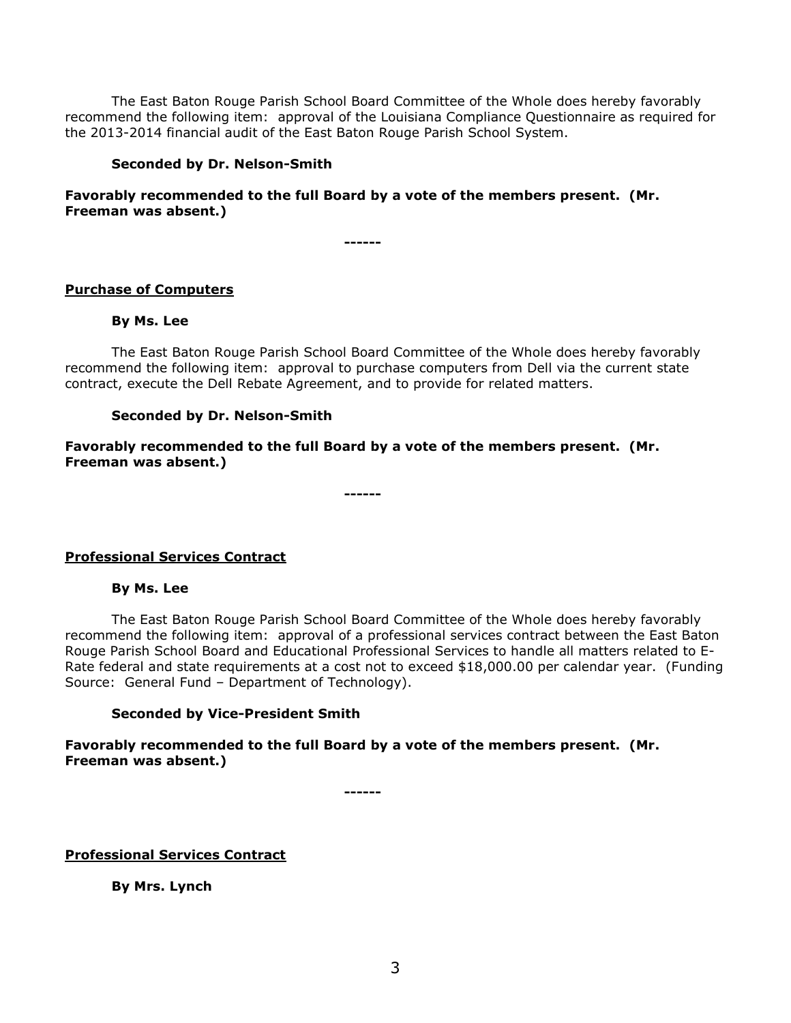The East Baton Rouge Parish School Board Committee of the Whole does hereby favorably recommend the following item: approval of the Louisiana Compliance Questionnaire as required for the 2013-2014 financial audit of the East Baton Rouge Parish School System.

## **Seconded by Dr. Nelson-Smith**

# **Favorably recommended to the full Board by a vote of the members present. (Mr. Freeman was absent.)**

**------**

## **Purchase of Computers**

## **By Ms. Lee**

The East Baton Rouge Parish School Board Committee of the Whole does hereby favorably recommend the following item: approval to purchase computers from Dell via the current state contract, execute the Dell Rebate Agreement, and to provide for related matters.

## **Seconded by Dr. Nelson-Smith**

**Favorably recommended to the full Board by a vote of the members present. (Mr. Freeman was absent.)**

**------**

## **Professional Services Contract**

## **By Ms. Lee**

The East Baton Rouge Parish School Board Committee of the Whole does hereby favorably recommend the following item: approval of a professional services contract between the East Baton Rouge Parish School Board and Educational Professional Services to handle all matters related to E-Rate federal and state requirements at a cost not to exceed \$18,000.00 per calendar year. (Funding Source: General Fund – Department of Technology).

## **Seconded by Vice-President Smith**

**Favorably recommended to the full Board by a vote of the members present. (Mr. Freeman was absent.)**

**------**

**Professional Services Contract**

**By Mrs. Lynch**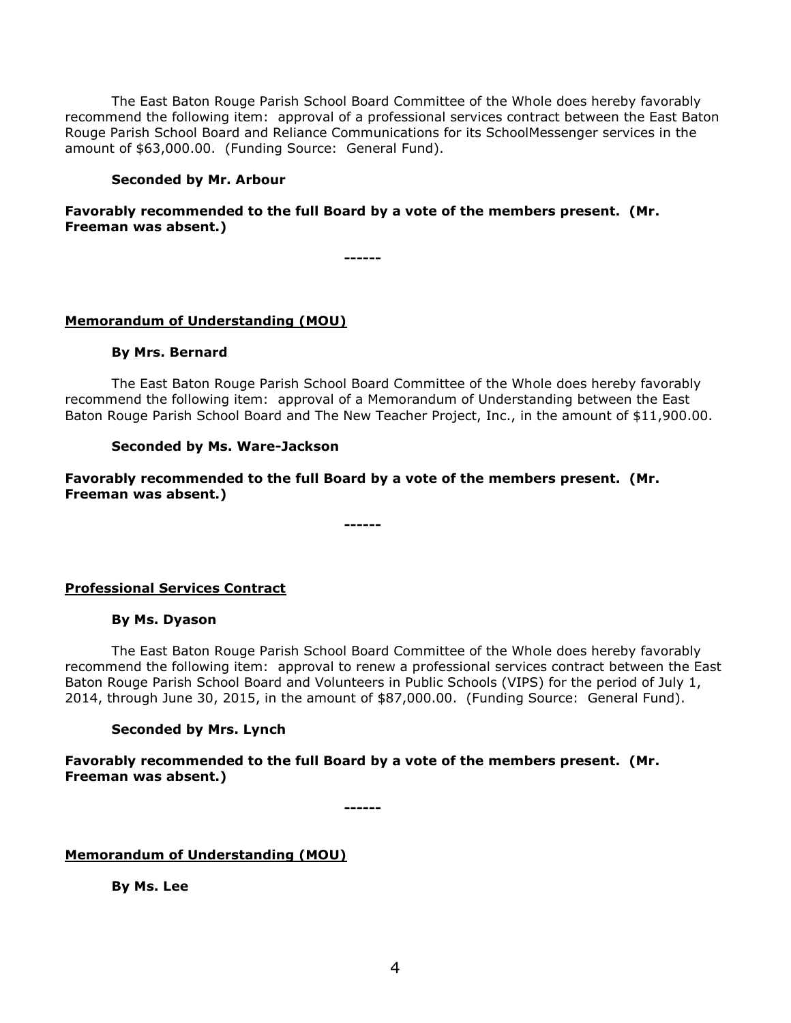The East Baton Rouge Parish School Board Committee of the Whole does hereby favorably recommend the following item: approval of a professional services contract between the East Baton Rouge Parish School Board and Reliance Communications for its SchoolMessenger services in the amount of \$63,000.00. (Funding Source: General Fund).

#### **Seconded by Mr. Arbour**

# **Favorably recommended to the full Board by a vote of the members present. (Mr. Freeman was absent.)**

**------**

# **Memorandum of Understanding (MOU)**

#### **By Mrs. Bernard**

The East Baton Rouge Parish School Board Committee of the Whole does hereby favorably recommend the following item: approval of a Memorandum of Understanding between the East Baton Rouge Parish School Board and The New Teacher Project, Inc., in the amount of \$11,900.00.

## **Seconded by Ms. Ware-Jackson**

**Favorably recommended to the full Board by a vote of the members present. (Mr. Freeman was absent.)**

**------**

## **Professional Services Contract**

#### **By Ms. Dyason**

The East Baton Rouge Parish School Board Committee of the Whole does hereby favorably recommend the following item: approval to renew a professional services contract between the East Baton Rouge Parish School Board and Volunteers in Public Schools (VIPS) for the period of July 1, 2014, through June 30, 2015, in the amount of \$87,000.00. (Funding Source: General Fund).

## **Seconded by Mrs. Lynch**

**Favorably recommended to the full Board by a vote of the members present. (Mr. Freeman was absent.)**

**------**

**Memorandum of Understanding (MOU)**

**By Ms. Lee**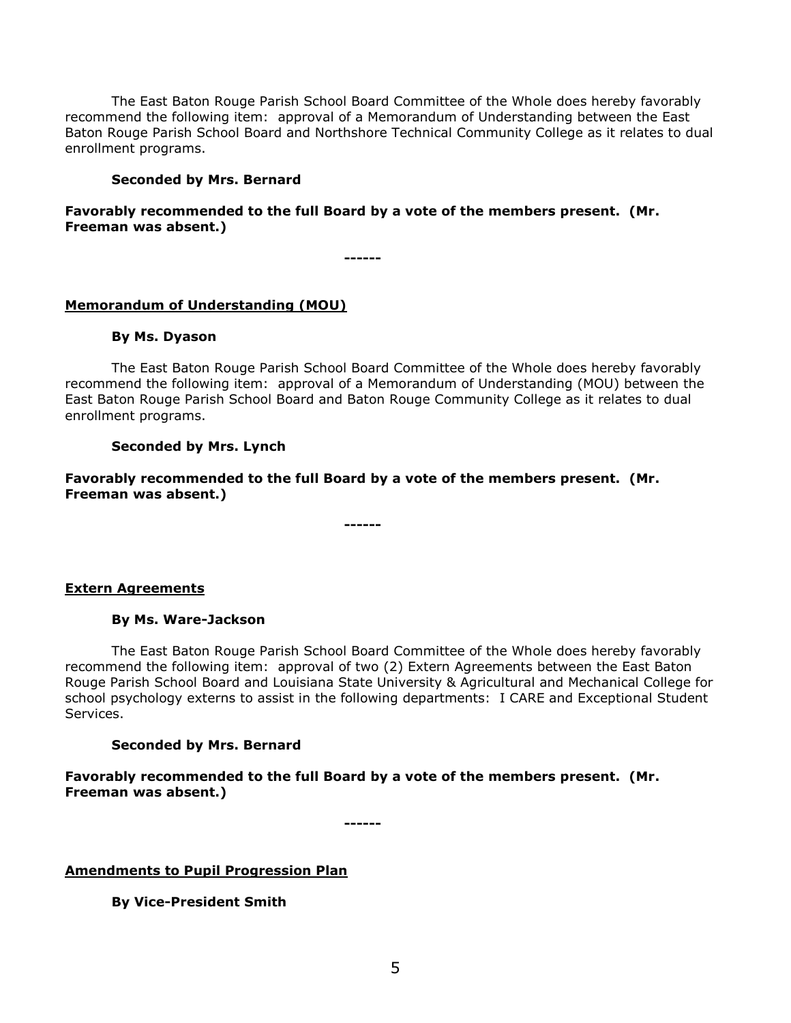The East Baton Rouge Parish School Board Committee of the Whole does hereby favorably recommend the following item: approval of a Memorandum of Understanding between the East Baton Rouge Parish School Board and Northshore Technical Community College as it relates to dual enrollment programs.

#### **Seconded by Mrs. Bernard**

# **Favorably recommended to the full Board by a vote of the members present. (Mr. Freeman was absent.)**

**------**

# **Memorandum of Understanding (MOU)**

#### **By Ms. Dyason**

The East Baton Rouge Parish School Board Committee of the Whole does hereby favorably recommend the following item: approval of a Memorandum of Understanding (MOU) between the East Baton Rouge Parish School Board and Baton Rouge Community College as it relates to dual enrollment programs.

## **Seconded by Mrs. Lynch**

**Favorably recommended to the full Board by a vote of the members present. (Mr. Freeman was absent.)**

**------**

#### **Extern Agreements**

#### **By Ms. Ware-Jackson**

The East Baton Rouge Parish School Board Committee of the Whole does hereby favorably recommend the following item: approval of two (2) Extern Agreements between the East Baton Rouge Parish School Board and Louisiana State University & Agricultural and Mechanical College for school psychology externs to assist in the following departments: I CARE and Exceptional Student Services.

## **Seconded by Mrs. Bernard**

**Favorably recommended to the full Board by a vote of the members present. (Mr. Freeman was absent.)**

**------**

**Amendments to Pupil Progression Plan**

**By Vice-President Smith**